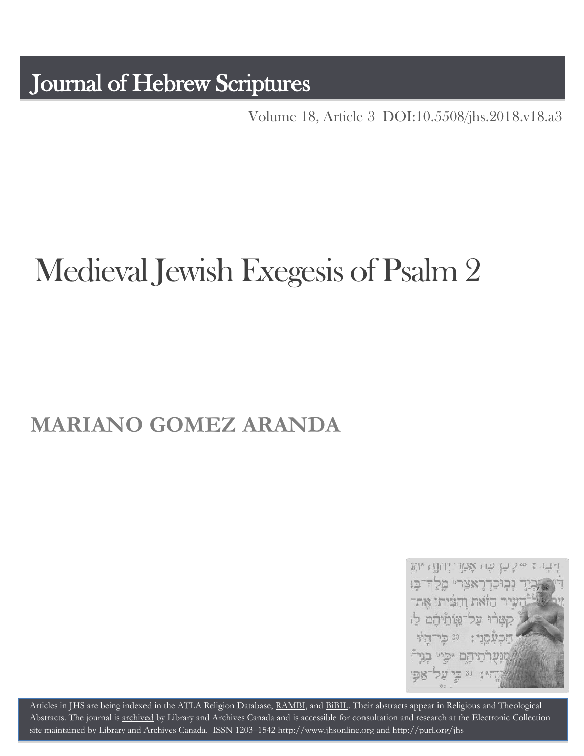Journal of Hebrew Scriptures

Volume 18, Article 3 [DOI:10.5508/jhs.2018.v18.a3](http://dx.doi.org/10.5508/jhs.2018.v18.a3)

# Medieval Jewish Exegesis of Psalm 2

## **MARIANO GOMEZ ARANDA**



Articles in JHS are being indexed in the ATLA Religion Database, [RAMBI,](http://jnul.huji.ac.il/rambi/) and [BiBIL.](http://bibil.net/) Their abstracts appear in Religious and Theological Abstracts. The journal is [archived](http://epe.lac-bac.gc.ca/100/201/300/journal_hebrew/index.html) by Library and Archives Canada and is accessible for consultation and research at the Electronic Collection site maintained by [Library and Archives Canada.](http://collectionscanada.ca/electroniccollection/003008-200-e.html) ISSN 1203–154[2 http://www.jhsonline.org](http://www.jhsonline.org/) and<http://purl.org/jhs>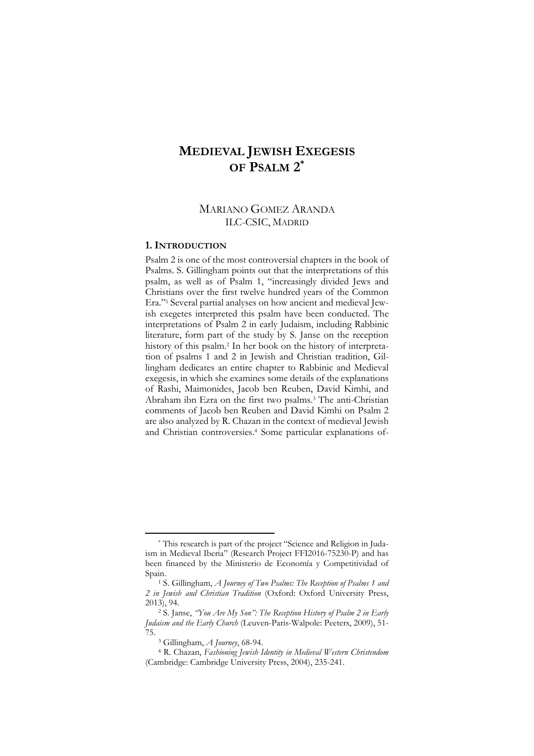### **MEDIEVAL JEWISH EXEGESIS OF PSALM 2 \***

#### MARIANO GOMEZ ARANDA ILC-CSIC, MADRID

#### **1. INTRODUCTION**

Psalm 2 is one of the most controversial chapters in the book of Psalms. S. Gillingham points out that the interpretations of this psalm, as well as of Psalm 1, "increasingly divided Jews and Christians over the first twelve hundred years of the Common Era."<sup>1</sup> Several partial analyses on how ancient and medieval Jewish exegetes interpreted this psalm have been conducted. The interpretations of Psalm 2 in early Judaism, including Rabbinic literature, form part of the study by S. Janse on the reception history of this psalm.<sup>2</sup> In her book on the history of interpretation of psalms 1 and 2 in Jewish and Christian tradition, Gillingham dedicates an entire chapter to Rabbinic and Medieval exegesis, in which she examines some details of the explanations of Rashi, Maimonides, Jacob ben Reuben, David Kimhi, and Abraham ibn Ezra on the first two psalms.<sup>3</sup> The anti-Christian comments of Jacob ben Reuben and David Kimhi on Psalm 2 are also analyzed by R. Chazan in the context of medieval Jewish and Christian controversies.<sup>4</sup> Some particular explanations of-

<sup>\*</sup> This research is part of the project "Science and Religion in Judaism in Medieval Iberia" (Research Project FFI2016-75230-P) and has been financed by the Ministerio de Economía y Competitividad of Spain.

<sup>1</sup> S. Gillingham, *A Journey of Two Psalms: The Reception of Psalms 1 and 2 in Jewish and Christian Tradition* (Oxford: Oxford University Press, 2013), 94.

<sup>2</sup> S. Janse, *"You Are My Son": The Reception History of Psalm 2 in Early Judaism and the Early Church* (Leuven-Paris-Walpole: Peeters, 2009), 51- 75.

<sup>3</sup> Gillingham, *A Journey*, 68-94.

<sup>4</sup> R. Chazan, *Fashioning Jewish Identity in Medieval Western Christendom* (Cambridge: Cambridge University Press, 2004), 235-241.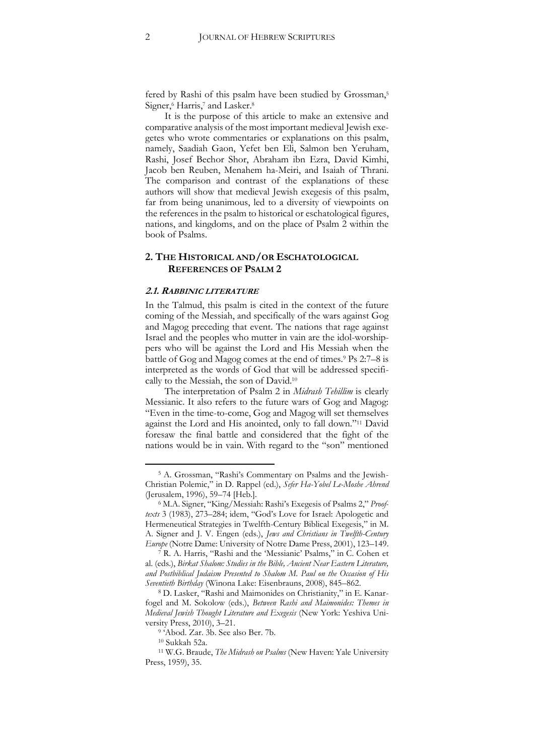fered by Rashi of this psalm have been studied by Grossman,<sup>5</sup> Signer,<sup>6</sup> Harris,<sup>7</sup> and Lasker.<sup>8</sup>

It is the purpose of this article to make an extensive and comparative analysis of the most important medieval Jewish exegetes who wrote commentaries or explanations on this psalm, namely, Saadiah Gaon, Yefet ben Eli, Salmon ben Yeruham, Rashi, Josef Bechor Shor, Abraham ibn Ezra, David Kimhi, Jacob ben Reuben, Menahem ha-Meiri, and Isaiah of Thrani. The comparison and contrast of the explanations of these authors will show that medieval Jewish exegesis of this psalm, far from being unanimous, led to a diversity of viewpoints on the references in the psalm to historical or eschatological figures, nations, and kingdoms, and on the place of Psalm 2 within the book of Psalms.

#### **2. THE HISTORICAL AND/OR ESCHATOLOGICAL REFERENCES OF PSALM 2**

#### **2.1. RABBINIC LITERATURE**

In the Talmud, this psalm is cited in the context of the future coming of the Messiah, and specifically of the wars against Gog and Magog preceding that event. The nations that rage against Israel and the peoples who mutter in vain are the idol-worshippers who will be against the Lord and His Messiah when the battle of Gog and Magog comes at the end of times.<sup>9</sup> Ps 2:7–8 is interpreted as the words of God that will be addressed specifically to the Messiah, the son of David.<sup>10</sup>

The interpretation of Psalm 2 in *Midrash Tehillim* is clearly Messianic. It also refers to the future wars of Gog and Magog: "Even in the time-to-come, Gog and Magog will set themselves against the Lord and His anointed, only to fall down."<sup>11</sup> David foresaw the final battle and considered that the fight of the nations would be in vain. With regard to the "son" mentioned

<sup>5</sup> A. Grossman, "Rashi's Commentary on Psalms and the Jewish-Christian Polemic," in D. Rappel (ed.), *Sefer Ha-Yobel Le-Moshe Ahrend* (Jerusalem, 1996), 59–74 [Heb.].

<sup>6</sup> M.A. Signer, "King/Messiah: Rashi's Exegesis of Psalms 2," *Prooftexts* 3 (1983), 273–284; idem, "God's Love for Israel: Apologetic and Hermeneutical Strategies in Twelfth-Century Biblical Exegesis," in M. A. Signer and J. V. Engen (eds.), *Jews and Christians in Twelfth-Century Europe* (Notre Dame: University of Notre Dame Press, 2001), 123–149.

<sup>7</sup> R. A. Harris, "Rashi and the 'Messianic' Psalms," in C. Cohen et al. (eds.), *Birkat Shalom: Studies in the Bible, Ancient Near Eastern Literature, and Postbiblical Judaism Presented to Shalom M. Paul on the Occasion of His Seventieth Birthday* (Winona Lake: Eisenbrauns, 2008), 845–862.

<sup>8</sup> D. Lasker, "Rashi and Maimonides on Christianity," in E. Kanarfogel and M. Sokolow (eds.), *Between Rashi and Maimonides: Themes in Medieval Jewish Thought Literature and Exegesis* (New York: Yeshiva University Press, 2010), 3–21.

<sup>9</sup> 'Abod. Zar. 3b. See also Ber. 7b.

<sup>10</sup> Sukkah 52a.

<sup>11</sup> W.G. Braude, *The Midrash on Psalms* (New Haven: Yale University Press, 1959), 35.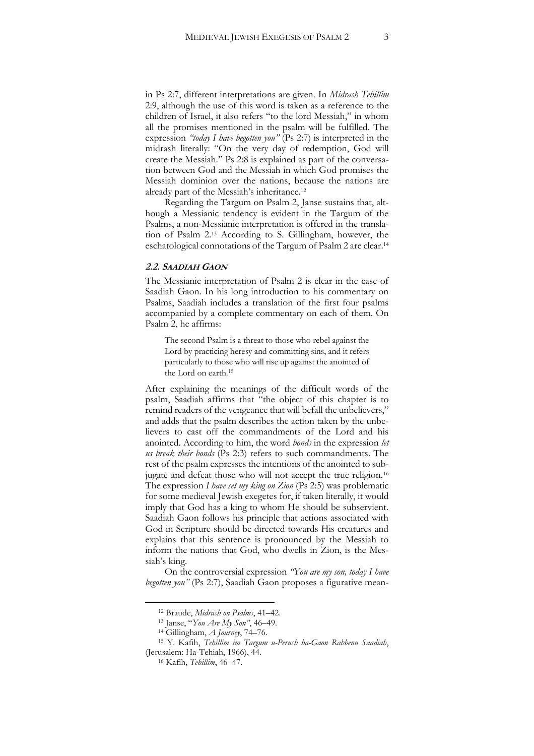in Ps 2:7, different interpretations are given. In *Midrash Tehillim* 2:9, although the use of this word is taken as a reference to the children of Israel, it also refers "to the lord Messiah," in whom all the promises mentioned in the psalm will be fulfilled. The expression *"today I have begotten you"* (Ps 2:7) is interpreted in the midrash literally: "On the very day of redemption, God will create the Messiah." Ps 2:8 is explained as part of the conversation between God and the Messiah in which God promises the Messiah dominion over the nations, because the nations are already part of the Messiah's inheritance.<sup>12</sup>

Regarding the Targum on Psalm 2, Janse sustains that, although a Messianic tendency is evident in the Targum of the Psalms, a non-Messianic interpretation is offered in the translation of Psalm 2.<sup>13</sup> According to S. Gillingham, however, the eschatological connotations of the Targum of Psalm 2 are clear.<sup>14</sup>

#### **2.2. SAADIAH GAON**

The Messianic interpretation of Psalm 2 is clear in the case of Saadiah Gaon. In his long introduction to his commentary on Psalms, Saadiah includes a translation of the first four psalms accompanied by a complete commentary on each of them. On Psalm 2, he affirms:

The second Psalm is a threat to those who rebel against the Lord by practicing heresy and committing sins, and it refers particularly to those who will rise up against the anointed of the Lord on earth.<sup>15</sup>

After explaining the meanings of the difficult words of the psalm, Saadiah affirms that "the object of this chapter is to remind readers of the vengeance that will befall the unbelievers," and adds that the psalm describes the action taken by the unbelievers to cast off the commandments of the Lord and his anointed. According to him, the word *bonds* in the expression *let us break their bonds* (Ps 2:3) refers to such commandments. The rest of the psalm expresses the intentions of the anointed to subjugate and defeat those who will not accept the true religion.<sup>16</sup> The expression *I have set my king on Zion* (Ps 2:5) was problematic for some medieval Jewish exegetes for, if taken literally, it would imply that God has a king to whom He should be subservient. Saadiah Gaon follows his principle that actions associated with God in Scripture should be directed towards His creatures and explains that this sentence is pronounced by the Messiah to inform the nations that God, who dwells in Zion, is the Messiah's king.

On the controversial expression *"You are my son, today I have begotten you"* (Ps 2:7), Saadiah Gaon proposes a figurative mean-

<sup>12</sup> Braude, *Midrash on Psalms*, 41–42.

<sup>13</sup> Janse, "*You Are My Son"*, 46–49.

<sup>14</sup> Gillingham, *A Journey*, 74–76.

<sup>15</sup> Y. Kafih, *Tehillim im Targum u-Perush ha-Gaon Rabbenu Saadiah*, (Jerusalem: Ha-Tehiah, 1966), 44.

<sup>16</sup> Kafih, *Tehillim*, 46–47.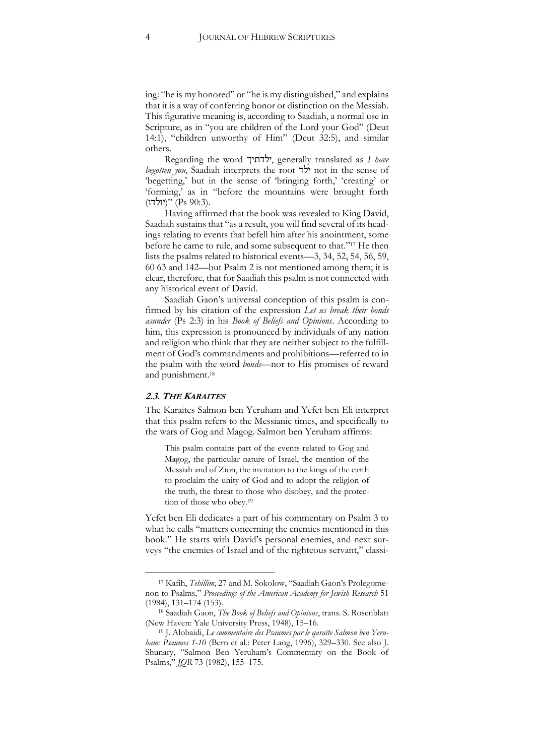ing: "he is my honored" or "he is my distinguished," and explains that it is a way of conferring honor or distinction on the Messiah. This figurative meaning is, according to Saadiah, a normal use in Scripture, as in "you are children of the Lord your God" (Deut 14:1), "children unworthy of Him" (Deut 32:5), and similar others.

Regarding the word ילדתיך, generally translated as *I have begotten you*, Saadiah interprets the root ילד not in the sense of 'begetting,' but in the sense of 'bringing forth,' 'creating' or 'forming,' as in "before the mountains were brought forth יולדו)" (Ps 90:3).

Having affirmed that the book was revealed to King David, Saadiah sustains that "as a result, you will find several of its headings relating to events that befell him after his anointment, some before he came to rule, and some subsequent to that."<sup>17</sup> He then lists the psalms related to historical events—3, 34, 52, 54, 56, 59, 60 63 and 142—but Psalm 2 is not mentioned among them; it is clear, therefore, that for Saadiah this psalm is not connected with any historical event of David.

Saadiah Gaon's universal conception of this psalm is confirmed by his citation of the expression *Let us break their bonds asunder* (Ps 2:3) in his *Book of Beliefs and Opinions*. According to him, this expression is pronounced by individuals of any nation and religion who think that they are neither subject to the fulfillment of God's commandments and prohibitions—referred to in the psalm with the word *bonds*—nor to His promises of reward and punishment.<sup>18</sup>

#### **2.3. THE KARAITES**

j

The Karaites Salmon ben Yeruham and Yefet ben Eli interpret that this psalm refers to the Messianic times, and specifically to the wars of Gog and Magog. Salmon ben Yeruham affirms:

This psalm contains part of the events related to Gog and Magog, the particular nature of Israel, the mention of the Messiah and of Zion, the invitation to the kings of the earth to proclaim the unity of God and to adopt the religion of the truth, the threat to those who disobey, and the protection of those who obey.<sup>19</sup>

Yefet ben Eli dedicates a part of his commentary on Psalm 3 to what he calls "matters concerning the enemies mentioned in this book." He starts with David's personal enemies, and next surveys "the enemies of Israel and of the righteous servant," classi-

<sup>&</sup>lt;sup>17</sup> Kafih, *Tehillim*, 27 and M. Sokolow, "Saadiah Gaon's Prolegomenon to Psalms," *Proceedings of the American Academy for Jewish Research* 51 (1984), 131–174 (153).

<sup>18</sup> Saadiah Gaon, *The Book of Beliefs and Opinions*, trans. S. Rosenblatt (New Haven: Yale University Press, 1948), 15–16.

<sup>19</sup> J. Alobaidi, *Le commentaire des Psaumes par le qaraïte Salmon ben Yeruham: Psaumes 1-10* (Bern et al.: Peter Lang, 1996), 329–330. See also J. Shunary, "Salmon Ben Yeruham's Commentary on the Book of Psalms," *JQR* 73 (1982), 155–175.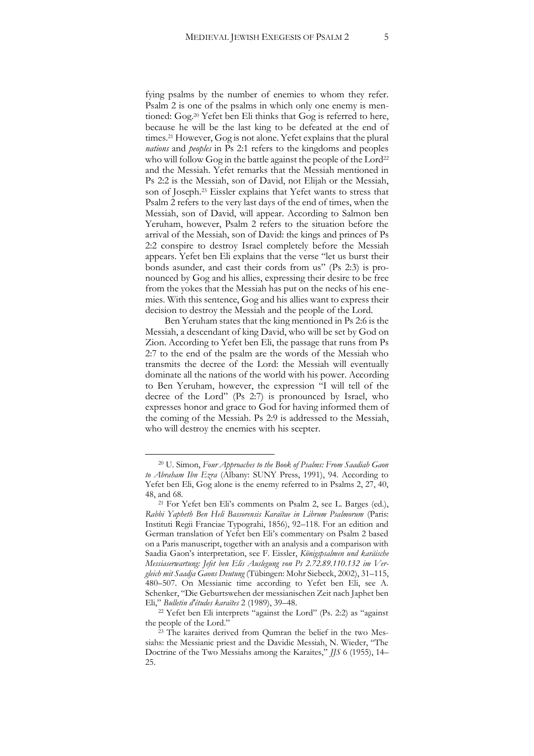fying psalms by the number of enemies to whom they refer. Psalm 2 is one of the psalms in which only one enemy is mentioned: Gog.<sup>20</sup> Yefet ben Eli thinks that Gog is referred to here, because he will be the last king to be defeated at the end of times.<sup>21</sup> However, Gog is not alone. Yefet explains that the plural *nations* and *peoples* in Ps 2:1 refers to the kingdoms and peoples who will follow Gog in the battle against the people of the Lord<sup>22</sup> and the Messiah. Yefet remarks that the Messiah mentioned in Ps 2:2 is the Messiah, son of David, not Elijah or the Messiah, son of Joseph.<sup>23</sup> Eissler explains that Yefet wants to stress that Psalm 2 refers to the very last days of the end of times, when the Messiah, son of David, will appear. According to Salmon ben Yeruham, however, Psalm 2 refers to the situation before the arrival of the Messiah, son of David: the kings and princes of Ps 2:2 conspire to destroy Israel completely before the Messiah appears. Yefet ben Eli explains that the verse "let us burst their bonds asunder, and cast their cords from us" (Ps 2:3) is pronounced by Gog and his allies, expressing their desire to be free from the yokes that the Messiah has put on the necks of his enemies. With this sentence, Gog and his allies want to express their decision to destroy the Messiah and the people of the Lord.

Ben Yeruham states that the king mentioned in Ps 2:6 is the Messiah, a descendant of king David, who will be set by God on Zion. According to Yefet ben Eli, the passage that runs from Ps 2:7 to the end of the psalm are the words of the Messiah who transmits the decree of the Lord: the Messiah will eventually dominate all the nations of the world with his power. According to Ben Yeruham, however, the expression "I will tell of the decree of the Lord" (Ps 2:7) is pronounced by Israel, who expresses honor and grace to God for having informed them of the coming of the Messiah. Ps 2:9 is addressed to the Messiah, who will destroy the enemies with his scepter.

<sup>20</sup> U. Simon, *Four Approaches to the Book of Psalms: From Saadiah Gaon to Abraham Ibn Ezra* (Albany: SUNY Press, 1991), 94. According to Yefet ben Eli, Gog alone is the enemy referred to in Psalms 2, 27, 40, 48, and 68.

<sup>21</sup> For Yefet ben Eli's comments on Psalm 2, see L. Barges (ed.), *Rabbi Yapheth Ben Heli Bassorensis Karaïtae in Librum Psalmorum* (Paris: Instituti Regii Franciae Typograhi, 1856), 92–118. For an edition and German translation of Yefet ben Eli's commentary on Psalm 2 based on a Paris manuscript, together with an analysis and a comparison with Saadia Gaon's interpretation, see F. Eissler, *Königspsalmen und karäische Messiaserwartung: Jefet ben Elis Auslegung von Ps 2.72.89.110.132 im Vergleich mit Saadja Gaons Deutung* (Tübingen: Mohr Siebeck, 2002), 31–115, 480–507. On Messianic time according to Yefet ben Eli, see A. Schenker, "Die Geburtswehen der messianischen Zeit nach Japhet ben Eli," *Bulletin d'études karaïtes* 2 (1989), 39–48.

<sup>22</sup> Yefet ben Eli interprets "against the Lord" (Ps. 2:2) as "against the people of the Lord."

<sup>23</sup> The karaites derived from Qumran the belief in the two Messiahs: the Messianic priest and the Davidic Messiah, N. Wieder, "The Doctrine of the Two Messiahs among the Karaites," *JJS* 6 (1955), 14– 25.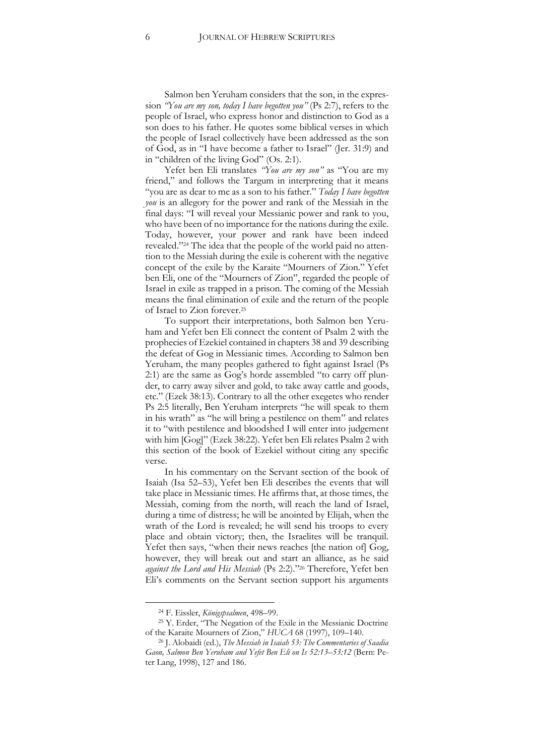Salmon ben Yeruham considers that the son, in the expression *"You are my son, today I have begotten you"* (Ps 2:7), refers to the people of Israel, who express honor and distinction to God as a son does to his father. He quotes some biblical verses in which the people of Israel collectively have been addressed as the son of God, as in "I have become a father to Israel" (Jer. 31:9) and in "children of the living God" (Os. 2:1).

Yefet ben Eli translates *"You are my son"* as "You are my friend," and follows the Targum in interpreting that it means "you are as dear to me as a son to his father." *Today I have begotten you* is an allegory for the power and rank of the Messiah in the final days: "I will reveal your Messianic power and rank to you, who have been of no importance for the nations during the exile. Today, however, your power and rank have been indeed revealed."<sup>24</sup> The idea that the people of the world paid no attention to the Messiah during the exile is coherent with the negative concept of the exile by the Karaite "Mourners of Zion." Yefet ben Eli, one of the "Mourners of Zion", regarded the people of Israel in exile as trapped in a prison. The coming of the Messiah means the final elimination of exile and the return of the people of Israel to Zion forever.<sup>25</sup>

To support their interpretations, both Salmon ben Yeruham and Yefet ben Eli connect the content of Psalm 2 with the prophecies of Ezekiel contained in chapters 38 and 39 describing the defeat of Gog in Messianic times. According to Salmon ben Yeruham, the many peoples gathered to fight against Israel (Ps 2:1) are the same as Gog's horde assembled "to carry off plunder, to carry away silver and gold, to take away cattle and goods, etc." (Ezek 38:13). Contrary to all the other exegetes who render Ps 2:5 literally, Ben Yeruham interprets "he will speak to them in his wrath" as "he will bring a pestilence on them" and relates it to "with pestilence and bloodshed I will enter into judgement with him [Gog]" (Ezek 38:22). Yefet ben Eli relates Psalm 2 with this section of the book of Ezekiel without citing any specific verse.

In his commentary on the Servant section of the book of Isaiah (Isa 52–53), Yefet ben Eli describes the events that will take place in Messianic times. He affirms that, at those times, the Messiah, coming from the north, will reach the land of Israel, during a time of distress; he will be anointed by Elijah, when the wrath of the Lord is revealed; he will send his troops to every place and obtain victory; then, the Israelites will be tranquil. Yefet then says, "when their news reaches [the nation of] Gog, however, they will break out and start an alliance, as he said *against the Lord and His Messiah* (Ps 2:2)."<sup>26</sup> Therefore, Yefet ben Eli's comments on the Servant section support his arguments

<sup>24</sup> F. Eissler, *Königspsalmen*, 498–99.

<sup>25</sup> Y. Erder, "The Negation of the Exile in the Messianic Doctrine of the Karaite Mourners of Zion," *HUCA* 68 (1997), 109–140.

<sup>26</sup> J. Alobaidi (ed.), *The Messiah in Isaiah 53: The Commentaries of Saadia Gaon, Salmon Ben Yeruham and Yefet Ben Eli on Is 52:13–53:12* (Bern: Peter Lang, 1998), 127 and 186.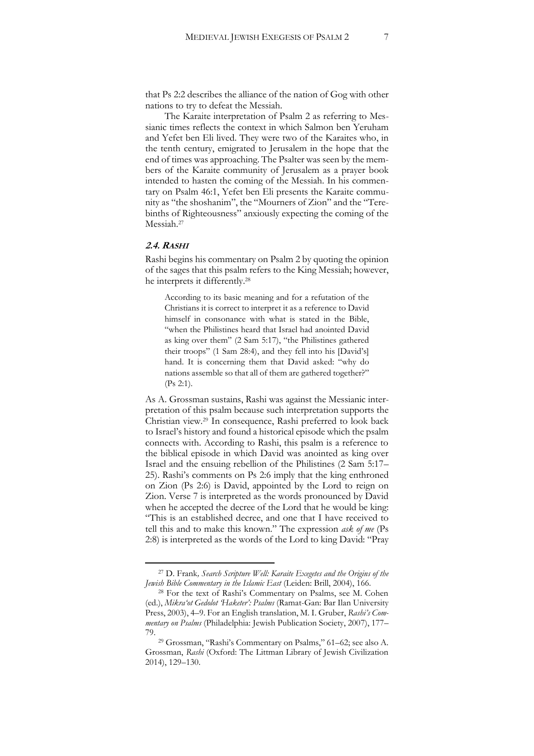that Ps 2:2 describes the alliance of the nation of Gog with other nations to try to defeat the Messiah.

The Karaite interpretation of Psalm 2 as referring to Messianic times reflects the context in which Salmon ben Yeruham and Yefet ben Eli lived. They were two of the Karaites who, in the tenth century, emigrated to Jerusalem in the hope that the end of times was approaching. The Psalter was seen by the members of the Karaite community of Jerusalem as a prayer book intended to hasten the coming of the Messiah. In his commentary on Psalm 46:1, Yefet ben Eli presents the Karaite community as "the shoshanim", the "Mourners of Zion" and the "Terebinths of Righteousness" anxiously expecting the coming of the Messiah.<sup>27</sup>

#### **2.4. RASHI**

 $\overline{a}$ 

Rashi begins his commentary on Psalm 2 by quoting the opinion of the sages that this psalm refers to the King Messiah; however, he interprets it differently.<sup>28</sup>

According to its basic meaning and for a refutation of the Christians it is correct to interpret it as a reference to David himself in consonance with what is stated in the Bible, "when the Philistines heard that Israel had anointed David as king over them" (2 Sam 5:17), "the Philistines gathered their troops" (1 Sam 28:4), and they fell into his [David's] hand. It is concerning them that David asked: "why do nations assemble so that all of them are gathered together?" (Ps 2:1).

As A. Grossman sustains, Rashi was against the Messianic interpretation of this psalm because such interpretation supports the Christian view.<sup>29</sup> In consequence, Rashi preferred to look back to Israel's history and found a historical episode which the psalm connects with. According to Rashi, this psalm is a reference to the biblical episode in which David was anointed as king over Israel and the ensuing rebellion of the Philistines (2 Sam 5:17– 25). Rashi's comments on Ps 2:6 imply that the king enthroned on Zion (Ps 2:6) is David, appointed by the Lord to reign on Zion. Verse 7 is interpreted as the words pronounced by David when he accepted the decree of the Lord that he would be king: "This is an established decree, and one that I have received to tell this and to make this known." The expression *ask of me* (Ps 2:8) is interpreted as the words of the Lord to king David: "Pray

<sup>27</sup> D. Frank*, Search Scripture Well: Karaite Exegetes and the Origins of the Jewish Bible Commentary in the Islamic East* (Leiden: Brill, 2004), 166.

<sup>28</sup> For the text of Rashi's Commentary on Psalms, see M. Cohen (ed.), *Mikra'ot Gedolot 'Haketer': Psalms* (Ramat-Gan: Bar Ilan University Press, 2003), 4–9. For an English translation, M. I. Gruber, *Rashi's Commentary on Psalms* (Philadelphia: Jewish Publication Society, 2007), 177– 79.

<sup>29</sup> Grossman, "Rashi's Commentary on Psalms," 61–62; see also A. Grossman, *Rashi* (Oxford: The Littman Library of Jewish Civilization 2014), 129–130.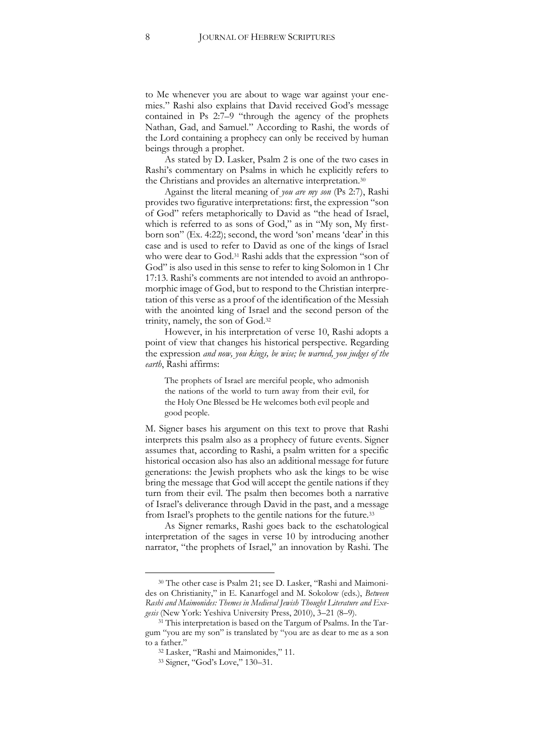to Me whenever you are about to wage war against your enemies." Rashi also explains that David received God's message contained in Ps 2:7–9 "through the agency of the prophets Nathan, Gad, and Samuel." According to Rashi, the words of the Lord containing a prophecy can only be received by human beings through a prophet.

As stated by D. Lasker, Psalm 2 is one of the two cases in Rashi's commentary on Psalms in which he explicitly refers to the Christians and provides an alternative interpretation.<sup>30</sup>

Against the literal meaning of *you are my son* (Ps 2:7), Rashi provides two figurative interpretations: first, the expression "son of God" refers metaphorically to David as "the head of Israel, which is referred to as sons of God," as in "My son, My firstborn son" (Ex. 4:22); second, the word 'son' means 'dear' in this case and is used to refer to David as one of the kings of Israel who were dear to God.<sup>31</sup> Rashi adds that the expression "son of God" is also used in this sense to refer to king Solomon in 1 Chr 17:13. Rashi's comments are not intended to avoid an anthropomorphic image of God, but to respond to the Christian interpretation of this verse as a proof of the identification of the Messiah with the anointed king of Israel and the second person of the trinity, namely, the son of God.<sup>32</sup>

However, in his interpretation of verse 10, Rashi adopts a point of view that changes his historical perspective. Regarding the expression *and now, you kings, be wise; be warned, you judges of the earth*, Rashi affirms:

The prophets of Israel are merciful people, who admonish the nations of the world to turn away from their evil, for the Holy One Blessed be He welcomes both evil people and good people.

M. Signer bases his argument on this text to prove that Rashi interprets this psalm also as a prophecy of future events. Signer assumes that, according to Rashi, a psalm written for a specific historical occasion also has also an additional message for future generations: the Jewish prophets who ask the kings to be wise bring the message that God will accept the gentile nations if they turn from their evil. The psalm then becomes both a narrative of Israel's deliverance through David in the past, and a message from Israel's prophets to the gentile nations for the future.<sup>33</sup>

As Signer remarks, Rashi goes back to the eschatological interpretation of the sages in verse 10 by introducing another narrator, "the prophets of Israel," an innovation by Rashi. The

<sup>30</sup> The other case is Psalm 21; see D. Lasker, "Rashi and Maimonides on Christianity," in E. Kanarfogel and M. Sokolow (eds.), *Between Rashi and Maimonides: Themes in Medieval Jewish Thought Literature and Exegesis* (New York: Yeshiva University Press, 2010), 3–21 (8–9).

<sup>&</sup>lt;sup>31</sup> This interpretation is based on the Targum of Psalms. In the Targum "you are my son" is translated by "you are as dear to me as a son to a father."

<sup>32</sup> Lasker, "Rashi and Maimonides," 11.

<sup>33</sup> Signer, "God's Love," 130–31.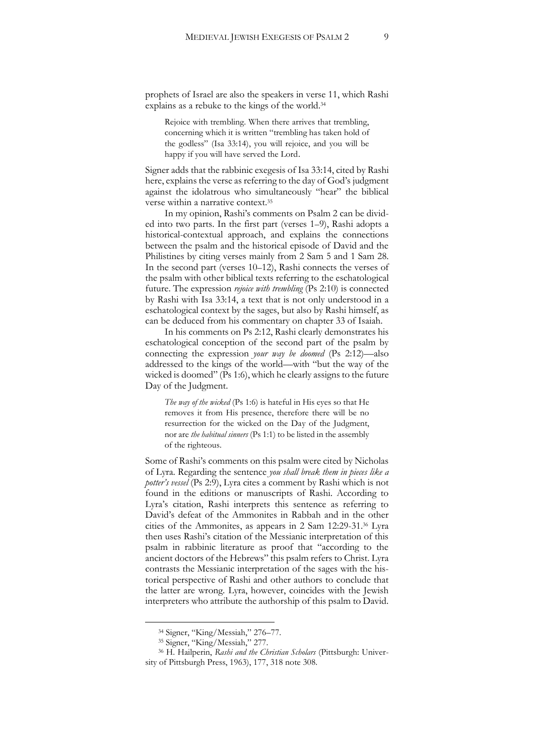prophets of Israel are also the speakers in verse 11, which Rashi explains as a rebuke to the kings of the world.<sup>34</sup>

Rejoice with trembling. When there arrives that trembling, concerning which it is written "trembling has taken hold of the godless" (Isa 33:14), you will rejoice, and you will be happy if you will have served the Lord.

Signer adds that the rabbinic exegesis of Isa 33:14, cited by Rashi here, explains the verse as referring to the day of God's judgment against the idolatrous who simultaneously "hear" the biblical verse within a narrative context.<sup>35</sup>

In my opinion, Rashi's comments on Psalm 2 can be divided into two parts. In the first part (verses 1–9), Rashi adopts a historical-contextual approach, and explains the connections between the psalm and the historical episode of David and the Philistines by citing verses mainly from 2 Sam 5 and 1 Sam 28. In the second part (verses 10–12), Rashi connects the verses of the psalm with other biblical texts referring to the eschatological future. The expression *rejoice with trembling* (Ps 2:10) is connected by Rashi with Isa 33:14, a text that is not only understood in a eschatological context by the sages, but also by Rashi himself, as can be deduced from his commentary on chapter 33 of Isaiah.

In his comments on Ps 2:12, Rashi clearly demonstrates his eschatological conception of the second part of the psalm by connecting the expression *your way be doomed* (Ps 2:12)—also addressed to the kings of the world—with "but the way of the wicked is doomed" (Ps 1:6), which he clearly assigns to the future Day of the Judgment.

*The way of the wicked* (Ps 1:6) is hateful in His eyes so that He removes it from His presence, therefore there will be no resurrection for the wicked on the Day of the Judgment, nor are *the habitual sinners* (Ps 1:1) to be listed in the assembly of the righteous.

Some of Rashi's comments on this psalm were cited by Nicholas of Lyra. Regarding the sentence *you shall break them in pieces like a potter's vessel* (Ps 2:9), Lyra cites a comment by Rashi which is not found in the editions or manuscripts of Rashi. According to Lyra's citation, Rashi interprets this sentence as referring to David's defeat of the Ammonites in Rabbah and in the other cities of the Ammonites, as appears in 2 Sam 12:29-31.<sup>36</sup> Lyra then uses Rashi's citation of the Messianic interpretation of this psalm in rabbinic literature as proof that "according to the ancient doctors of the Hebrews" this psalm refers to Christ. Lyra contrasts the Messianic interpretation of the sages with the historical perspective of Rashi and other authors to conclude that the latter are wrong. Lyra, however, coincides with the Jewish interpreters who attribute the authorship of this psalm to David.

<sup>34</sup> Signer, "King/Messiah," 276–77.

<sup>35</sup> Signer, "King/Messiah," 277.

<sup>36</sup> H. Hailperin, *Rashi and the Christian Scholars* (Pittsburgh: University of Pittsburgh Press, 1963), 177, 318 note 308.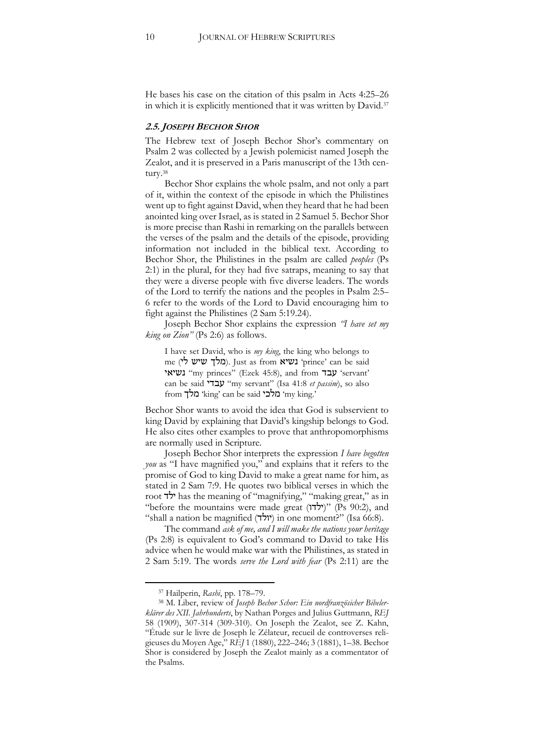He bases his case on the citation of this psalm in Acts 4:25–26 in which it is explicitly mentioned that it was written by David.<sup>37</sup>

#### **2.5. JOSEPH BECHOR SHOR**

The Hebrew text of Joseph Bechor Shor's commentary on Psalm 2 was collected by a Jewish polemicist named Joseph the Zealot, and it is preserved in a Paris manuscript of the 13th century.<sup>38</sup>

Bechor Shor explains the whole psalm, and not only a part of it, within the context of the episode in which the Philistines went up to fight against David, when they heard that he had been anointed king over Israel, as is stated in 2 Samuel 5. Bechor Shor is more precise than Rashi in remarking on the parallels between the verses of the psalm and the details of the episode, providing information not included in the biblical text. According to Bechor Shor, the Philistines in the psalm are called *peoples* (Ps 2:1) in the plural, for they had five satraps, meaning to say that they were a diverse people with five diverse leaders. The words of the Lord to terrify the nations and the peoples in Psalm 2:5– 6 refer to the words of the Lord to David encouraging him to fight against the Philistines (2 Sam 5:19.24).

Joseph Bechor Shor explains the expression *"I have set my king on Zion"* (Ps 2:6) as follows.

I have set David, who is *my king*, the king who belongs to me (מלך שיש לי). Just as from נשיא 'prince' can be said נשיאי" my princes" (Ezek 45:8), and from עבד' servant' can be said עבדי" my servant" (Isa 41:8 *et passim*), so also from מלכי king' can be said מלך 'my king.'

Bechor Shor wants to avoid the idea that God is subservient to king David by explaining that David's kingship belongs to God. He also cites other examples to prove that anthropomorphisms are normally used in Scripture.

Joseph Bechor Shor interprets the expression *I have begotten you* as "I have magnified you," and explains that it refers to the promise of God to king David to make a great name for him, as stated in 2 Sam 7:9. He quotes two biblical verses in which the root ילד has the meaning of "magnifying," "making great," as in "before the mountains were made great (ילדו)" (Ps 90:2), and "shall a nation be magnified (יולד) in one moment?" (Isa 66:8).

The command *ask of me, and I will make the nations your heritage* (Ps 2:8) is equivalent to God's command to David to take His advice when he would make war with the Philistines, as stated in 2 Sam 5:19. The words *serve the Lord with fear* (Ps 2:11) are the

<sup>37</sup> Hailperin, *Rashi*, pp. 178–79.

<sup>38</sup> M. Liber, review of *Joseph Bechor Schor: Ein nordfranzösicher Bibelerklärer des XII. Jahrhunderts*, by Nathan Porges and Julius Guttmann, *REJ* 58 (1909), 307-314 (309-310). On Joseph the Zealot, see Z. Kahn, "Étude sur le livre de Joseph le Zélateur, recueil de controverses religieuses du Moyen Age," *REJ* 1 (1880), 222–246; 3 (1881), 1–38. Bechor Shor is considered by Joseph the Zealot mainly as a commentator of the Psalms.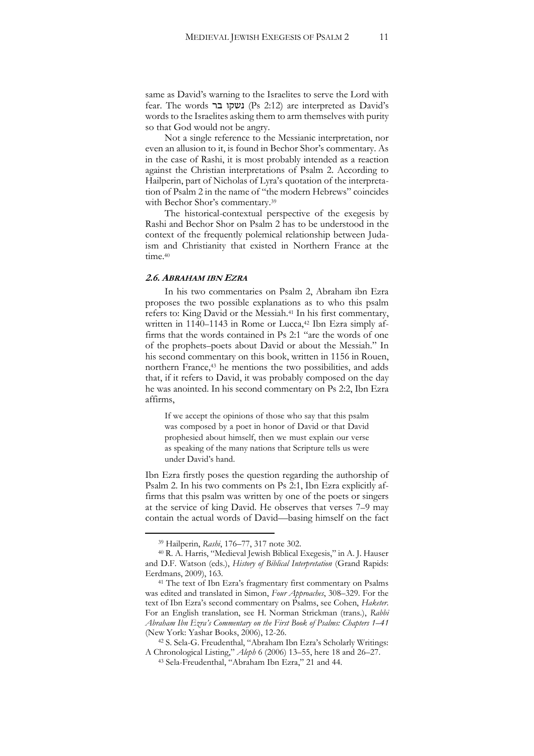same as David's warning to the Israelites to serve the Lord with fear. The words נשקו בר (Ps 2:12) are interpreted as David's words to the Israelites asking them to arm themselves with purity so that God would not be angry.

Not a single reference to the Messianic interpretation, nor even an allusion to it, is found in Bechor Shor's commentary. As in the case of Rashi, it is most probably intended as a reaction against the Christian interpretations of Psalm 2. According to Hailperin, part of Nicholas of Lyra's quotation of the interpretation of Psalm 2 in the name of "the modern Hebrews" coincides with Bechor Shor's commentary.<sup>39</sup>

The historical-contextual perspective of the exegesis by Rashi and Bechor Shor on Psalm 2 has to be understood in the context of the frequently polemical relationship between Judaism and Christianity that existed in Northern France at the time $40$ 

#### **2.6. ABRAHAM IBN EZRA**

In his two commentaries on Psalm 2, Abraham ibn Ezra proposes the two possible explanations as to who this psalm refers to: King David or the Messiah.<sup>41</sup> In his first commentary, written in 1140–1143 in Rome or Lucca,<sup>42</sup> Ibn Ezra simply affirms that the words contained in Ps 2:1 "are the words of one of the prophets–poets about David or about the Messiah." In his second commentary on this book, written in 1156 in Rouen, northern France,<sup>43</sup> he mentions the two possibilities, and adds that, if it refers to David, it was probably composed on the day he was anointed. In his second commentary on Ps 2:2, Ibn Ezra affirms,

If we accept the opinions of those who say that this psalm was composed by a poet in honor of David or that David prophesied about himself, then we must explain our verse as speaking of the many nations that Scripture tells us were under David's hand.

Ibn Ezra firstly poses the question regarding the authorship of Psalm 2. In his two comments on Ps 2:1, Ibn Ezra explicitly affirms that this psalm was written by one of the poets or singers at the service of king David. He observes that verses 7–9 may contain the actual words of David—basing himself on the fact

<sup>39</sup> Hailperin, *Rashi*, 176–77, 317 note 302.

<sup>40</sup> R. A. Harris, "Medieval Jewish Biblical Exegesis," in A. J. Hauser and D.F. Watson (eds.), *History of Biblical Interpretation* (Grand Rapids: Eerdmans, 2009), 163.

<sup>&</sup>lt;sup>41</sup> The text of Ibn Ezra's fragmentary first commentary on Psalms was edited and translated in Simon, *Four Approaches*, 308–329. For the text of Ibn Ezra's second commentary on Psalms, see Cohen, *Haketer*. For an English translation, see H. Norman Strickman (trans.), *Rabbi Abraham Ibn Ezra's Commentary on the First Book of Psalms: Chapters 1*–*41* (New York: Yashar Books, 2006), 12-26.

<sup>42</sup> S. Sela-G. Freudenthal, "Abraham Ibn Ezra's Scholarly Writings: A Chronological Listing," *Aleph* 6 (2006) 13–55, here 18 and 26–27.

<sup>43</sup> Sela-Freudenthal, "Abraham Ibn Ezra," 21 and 44.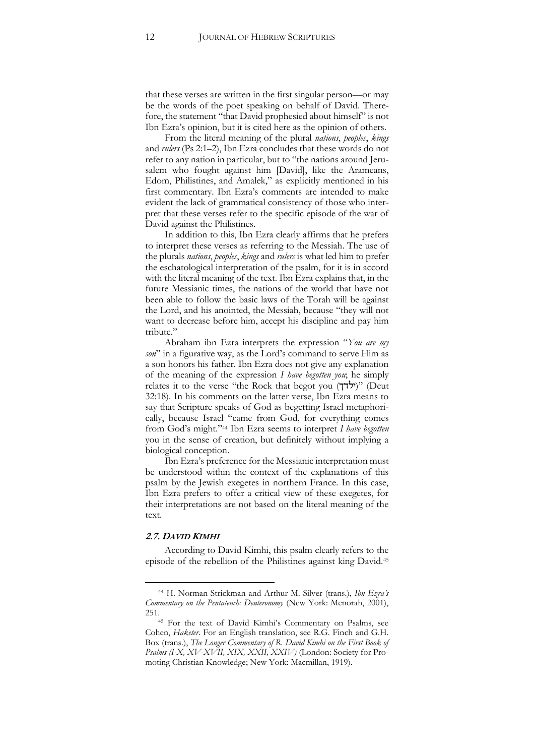that these verses are written in the first singular person—or may be the words of the poet speaking on behalf of David. Therefore, the statement "that David prophesied about himself" is not Ibn Ezra's opinion, but it is cited here as the opinion of others.

From the literal meaning of the plural *nations*, *peoples*, *kings* and *rulers* (Ps 2:1–2), Ibn Ezra concludes that these words do not refer to any nation in particular, but to "the nations around Jerusalem who fought against him [David], like the Arameans, Edom, Philistines, and Amalek," as explicitly mentioned in his first commentary. Ibn Ezra's comments are intended to make evident the lack of grammatical consistency of those who interpret that these verses refer to the specific episode of the war of David against the Philistines.

In addition to this, Ibn Ezra clearly affirms that he prefers to interpret these verses as referring to the Messiah. The use of the plurals *nations*, *peoples*, *kings* and *rulers* is what led him to prefer the eschatological interpretation of the psalm, for it is in accord with the literal meaning of the text. Ibn Ezra explains that, in the future Messianic times, the nations of the world that have not been able to follow the basic laws of the Torah will be against the Lord, and his anointed, the Messiah, because "they will not want to decrease before him, accept his discipline and pay him tribute."

Abraham ibn Ezra interprets the expression "*You are my son*" in a figurative way, as the Lord's command to serve Him as a son honors his father. Ibn Ezra does not give any explanation of the meaning of the expression *I have begotten you*; he simply relates it to the verse "the Rock that begot you  $(T\tau \tilde{U})$ " (Deut 32:18). In his comments on the latter verse, Ibn Ezra means to say that Scripture speaks of God as begetting Israel metaphorically, because Israel "came from God, for everything comes from God's might."<sup>44</sup> Ibn Ezra seems to interpret *I have begotten* you in the sense of creation, but definitely without implying a biological conception.

Ibn Ezra's preference for the Messianic interpretation must be understood within the context of the explanations of this psalm by the Jewish exegetes in northern France. In this case, Ibn Ezra prefers to offer a critical view of these exegetes, for their interpretations are not based on the literal meaning of the text.

#### **2.7. DAVID KIMHI**

 $\overline{a}$ 

According to David Kimhi, this psalm clearly refers to the episode of the rebellion of the Philistines against king David.<sup>45</sup>

<sup>44</sup> H. Norman Strickman and Arthur M. Silver (trans.), *Ibn Ezra's Commentary on the Pentateuch: Deuteronomy* (New York: Menorah, 2001), 251.

<sup>45</sup> For the text of David Kimhi's Commentary on Psalms, see Cohen, *Haketer*. For an English translation, see R.G. Finch and G.H. Box (trans.), *The Longer Commentary of R. David Kimhi on the First Book of Psalms (I-X, XV-XVII, XIX, XXII, XXIV)* (London: Society for Promoting Christian Knowledge; New York: Macmillan, 1919).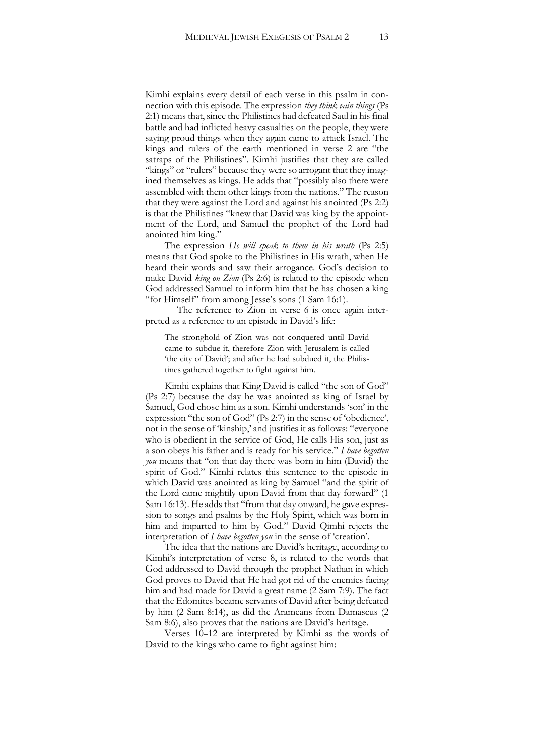Kimhi explains every detail of each verse in this psalm in connection with this episode. The expression *they think vain things* (Ps 2:1) means that, since the Philistines had defeated Saul in his final battle and had inflicted heavy casualties on the people, they were saying proud things when they again came to attack Israel. The kings and rulers of the earth mentioned in verse 2 are "the satraps of the Philistines". Kimhi justifies that they are called "kings" or "rulers" because they were so arrogant that they imagined themselves as kings. He adds that "possibly also there were assembled with them other kings from the nations." The reason that they were against the Lord and against his anointed (Ps 2:2) is that the Philistines "knew that David was king by the appointment of the Lord, and Samuel the prophet of the Lord had anointed him king."

The expression *He will speak to them in his wrath* (Ps 2:5) means that God spoke to the Philistines in His wrath, when He heard their words and saw their arrogance. God's decision to make David *king on Zion* (Ps 2:6) is related to the episode when God addressed Samuel to inform him that he has chosen a king "for Himself" from among Jesse's sons (1 Sam 16:1).

The reference to Zion in verse 6 is once again interpreted as a reference to an episode in David's life:

The stronghold of Zion was not conquered until David came to subdue it, therefore Zion with Jerusalem is called 'the city of David'; and after he had subdued it, the Philistines gathered together to fight against him.

Kimhi explains that King David is called "the son of God" (Ps 2:7) because the day he was anointed as king of Israel by Samuel, God chose him as a son. Kimhi understands 'son' in the expression "the son of God" (Ps 2:7) in the sense of 'obedience', not in the sense of 'kinship,' and justifies it as follows: "everyone who is obedient in the service of God, He calls His son, just as a son obeys his father and is ready for his service." *I have begotten you* means that "on that day there was born in him (David) the spirit of God." Kimhi relates this sentence to the episode in which David was anointed as king by Samuel "and the spirit of the Lord came mightily upon David from that day forward" (1 Sam 16:13). He adds that "from that day onward, he gave expression to songs and psalms by the Holy Spirit, which was born in him and imparted to him by God." David Qimhi rejects the interpretation of *I have begotten you* in the sense of 'creation'.

The idea that the nations are David's heritage, according to Kimhi's interpretation of verse 8, is related to the words that God addressed to David through the prophet Nathan in which God proves to David that He had got rid of the enemies facing him and had made for David a great name (2 Sam 7:9). The fact that the Edomites became servants of David after being defeated by him (2 Sam 8:14), as did the Arameans from Damascus (2 Sam 8:6), also proves that the nations are David's heritage.

Verses 10–12 are interpreted by Kimhi as the words of David to the kings who came to fight against him: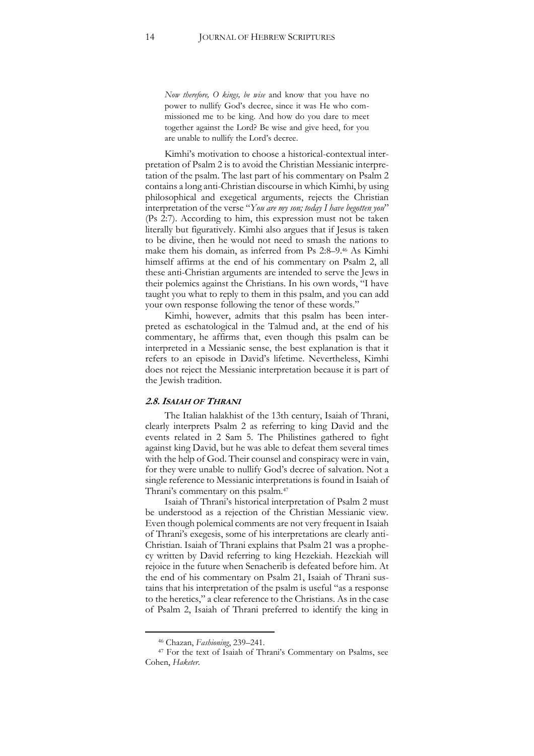*Now therefore, O kings, be wise* and know that you have no power to nullify God's decree, since it was He who commissioned me to be king. And how do you dare to meet together against the Lord? Be wise and give heed, for you are unable to nullify the Lord's decree.

Kimhi's motivation to choose a historical-contextual interpretation of Psalm 2 is to avoid the Christian Messianic interpretation of the psalm. The last part of his commentary on Psalm 2 contains a long anti-Christian discourse in which Kimhi, by using philosophical and exegetical arguments, rejects the Christian interpretation of the verse "*You are my son; today I have begotten you*" (Ps 2:7). According to him, this expression must not be taken literally but figuratively. Kimhi also argues that if Jesus is taken to be divine, then he would not need to smash the nations to make them his domain, as inferred from Ps 2:8–9.<sup>46</sup> As Kimhi himself affirms at the end of his commentary on Psalm 2, all these anti-Christian arguments are intended to serve the Jews in their polemics against the Christians. In his own words, "I have taught you what to reply to them in this psalm, and you can add your own response following the tenor of these words."

Kimhi, however, admits that this psalm has been interpreted as eschatological in the Talmud and, at the end of his commentary, he affirms that, even though this psalm can be interpreted in a Messianic sense, the best explanation is that it refers to an episode in David's lifetime. Nevertheless, Kimhi does not reject the Messianic interpretation because it is part of the Jewish tradition.

#### **2.8.ISAIAH OF THRANI**

The Italian halakhist of the 13th century, Isaiah of Thrani, clearly interprets Psalm 2 as referring to king David and the events related in 2 Sam 5. The Philistines gathered to fight against king David, but he was able to defeat them several times with the help of God. Their counsel and conspiracy were in vain, for they were unable to nullify God's decree of salvation. Not a single reference to Messianic interpretations is found in Isaiah of Thrani's commentary on this psalm.<sup>47</sup>

Isaiah of Thrani's historical interpretation of Psalm 2 must be understood as a rejection of the Christian Messianic view. Even though polemical comments are not very frequent in Isaiah of Thrani's exegesis, some of his interpretations are clearly anti-Christian. Isaiah of Thrani explains that Psalm 21 was a prophecy written by David referring to king Hezekiah. Hezekiah will rejoice in the future when Senacherib is defeated before him. At the end of his commentary on Psalm 21, Isaiah of Thrani sustains that his interpretation of the psalm is useful "as a response to the heretics," a clear reference to the Christians. As in the case of Psalm 2, Isaiah of Thrani preferred to identify the king in

<sup>46</sup> Chazan, *Fashioning*, 239–241.

<sup>47</sup> For the text of Isaiah of Thrani's Commentary on Psalms, see Cohen, *Haketer*.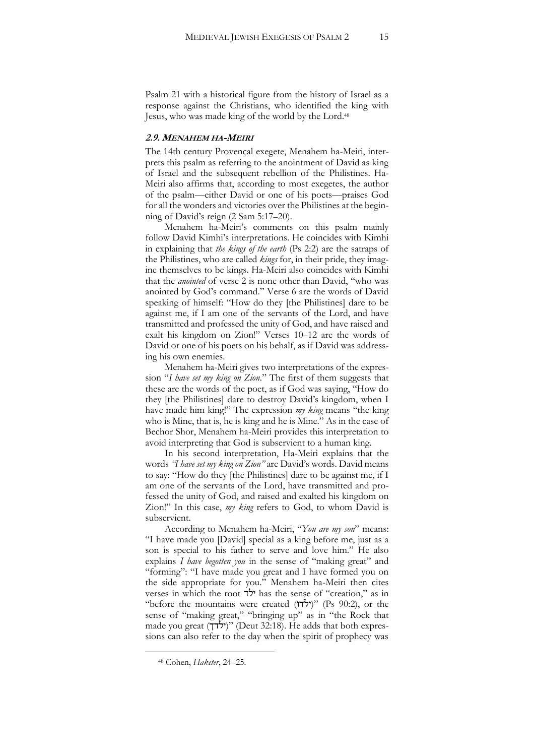Psalm 21 with a historical figure from the history of Israel as a response against the Christians, who identified the king with Jesus, who was made king of the world by the Lord.<sup>48</sup>

#### **2.9. MENAHEM HA-MEIRI**

The 14th century Provençal exegete, Menahem ha-Meiri, interprets this psalm as referring to the anointment of David as king of Israel and the subsequent rebellion of the Philistines. Ha-Meiri also affirms that, according to most exegetes, the author of the psalm—either David or one of his poets—praises God for all the wonders and victories over the Philistines at the beginning of David's reign (2 Sam 5:17–20).

Menahem ha-Meiri's comments on this psalm mainly follow David Kimhi's interpretations. He coincides with Kimhi in explaining that *the kings of the earth* (Ps 2:2) are the satraps of the Philistines, who are called *kings* for, in their pride, they imagine themselves to be kings. Ha-Meiri also coincides with Kimhi that the *anointed* of verse 2 is none other than David, "who was anointed by God's command." Verse 6 are the words of David speaking of himself: "How do they [the Philistines] dare to be against me, if I am one of the servants of the Lord, and have transmitted and professed the unity of God, and have raised and exalt his kingdom on Zion!" Verses 10–12 are the words of David or one of his poets on his behalf, as if David was addressing his own enemies.

Menahem ha-Meiri gives two interpretations of the expression "*I have set my king on Zion.*" The first of them suggests that these are the words of the poet, as if God was saying, "How do they [the Philistines] dare to destroy David's kingdom, when I have made him king!" The expression *my king* means "the king who is Mine, that is, he is king and he is Mine." As in the case of Bechor Shor, Menahem ha-Meiri provides this interpretation to avoid interpreting that God is subservient to a human king.

In his second interpretation, Ha-Meiri explains that the words *"I have set my king on Zion"* are David's words. David means to say: "How do they [the Philistines] dare to be against me, if I am one of the servants of the Lord, have transmitted and professed the unity of God, and raised and exalted his kingdom on Zion!" In this case, *my king* refers to God, to whom David is subservient.

According to Menahem ha-Meiri, "*You are my son*" means: "I have made you [David] special as a king before me, just as a son is special to his father to serve and love him." He also explains *I have begotten you* in the sense of "making great" and "forming": "I have made you great and I have formed you on the side appropriate for you." Menahem ha-Meiri then cites verses in which the root ילד has the sense of "creation," as in "before the mountains were created (ילדו) "(Ps 90:2), or the sense of "making great," "bringing up" as in "the Rock that made you great (ילדך) "(Deut 32:18). He adds that both expressions can also refer to the day when the spirit of prophecy was

<sup>48</sup> Cohen, *Haketer*, 24–25.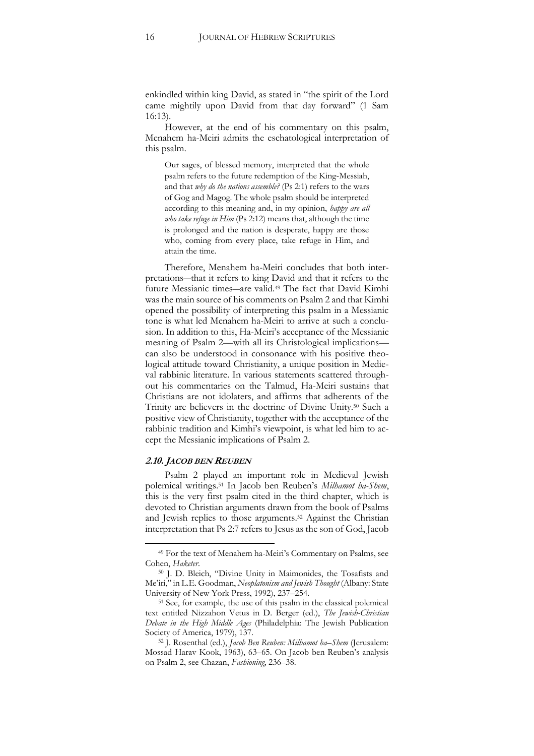enkindled within king David, as stated in "the spirit of the Lord came mightily upon David from that day forward" (1 Sam 16:13).

However, at the end of his commentary on this psalm, Menahem ha-Meiri admits the eschatological interpretation of this psalm.

Our sages, of blessed memory, interpreted that the whole psalm refers to the future redemption of the King-Messiah, and that *why do the nations assemble?* (Ps 2:1) refers to the wars of Gog and Magog. The whole psalm should be interpreted according to this meaning and, in my opinion, *happy are all who take refuge in Him* (Ps 2:12) means that, although the time is prolonged and the nation is desperate, happy are those who, coming from every place, take refuge in Him, and attain the time.

Therefore, Menahem ha-Meiri concludes that both interpretations―that it refers to king David and that it refers to the future Messianic times―are valid.<sup>49</sup> The fact that David Kimhi was the main source of his comments on Psalm 2 and that Kimhi opened the possibility of interpreting this psalm in a Messianic tone is what led Menahem ha-Meiri to arrive at such a conclusion. In addition to this, Ha-Meiri's acceptance of the Messianic meaning of Psalm 2—with all its Christological implications can also be understood in consonance with his positive theological attitude toward Christianity, a unique position in Medieval rabbinic literature. In various statements scattered throughout his commentaries on the Talmud, Ha-Meiri sustains that Christians are not idolaters, and affirms that adherents of the Trinity are believers in the doctrine of Divine Unity.<sup>50</sup> Such a positive view of Christianity, together with the acceptance of the rabbinic tradition and Kimhi's viewpoint, is what led him to accept the Messianic implications of Psalm 2.

#### **2.10. JACOB BEN REUBEN**

j

Psalm 2 played an important role in Medieval Jewish polemical writings.<sup>51</sup> In Jacob ben Reuben's *Milhamot ha-Shem*, this is the very first psalm cited in the third chapter, which is devoted to Christian arguments drawn from the book of Psalms and Jewish replies to those arguments.<sup>52</sup> Against the Christian interpretation that Ps 2:7 refers to Jesus as the son of God, Jacob

<sup>49</sup> For the text of Menahem ha-Meiri's Commentary on Psalms, see Cohen, *Haketer*.

<sup>50</sup> J. D. Bleich, "Divine Unity in Maimonides, the Tosafists and Me'iri," in L.E. Goodman, *Neoplatonism and Jewish Thought* (Albany: State University of New York Press, 1992), 237–254.

<sup>51</sup> See, for example, the use of this psalm in the classical polemical text entitled Nizzahon Vetus in D. Berger (ed.), *The Jewish-Christian Debate in the High Middle Ages* (Philadelphia: The Jewish Publication Society of America, 1979), 137.

<sup>52</sup> J. Rosenthal (ed.), *Jacob Ben Reuben: Milhamot ha*–*Shem* (Jerusalem: Mossad Harav Kook, 1963), 63–65. On Jacob ben Reuben's analysis on Psalm 2, see Chazan, *Fashioning*, 236–38.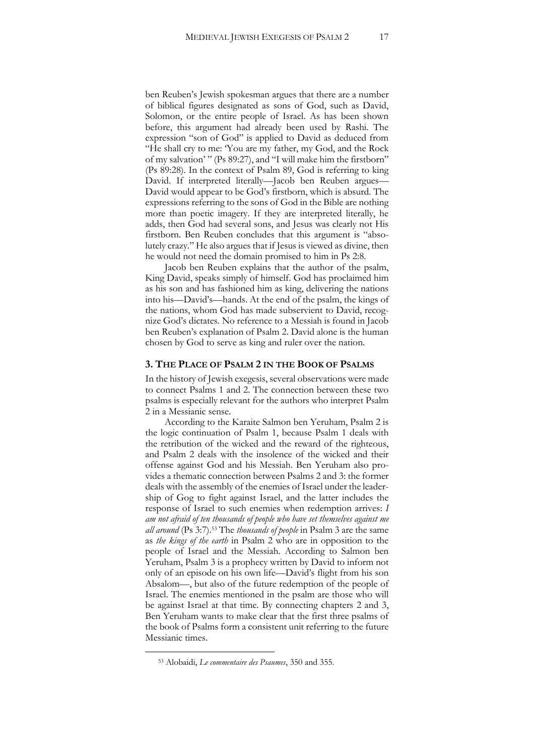ben Reuben's Jewish spokesman argues that there are a number of biblical figures designated as sons of God, such as David, Solomon, or the entire people of Israel. As has been shown before, this argument had already been used by Rashi. The expression "son of God" is applied to David as deduced from "He shall cry to me: 'You are my father, my God, and the Rock of my salvation' " (Ps 89:27), and "I will make him the firstborn" (Ps 89:28). In the context of Psalm 89, God is referring to king David. If interpreted literally—Jacob ben Reuben argues— David would appear to be God's firstborn, which is absurd. The expressions referring to the sons of God in the Bible are nothing more than poetic imagery. If they are interpreted literally, he adds, then God had several sons, and Jesus was clearly not His firstborn. Ben Reuben concludes that this argument is "absolutely crazy." He also argues that if Jesus is viewed as divine, then he would not need the domain promised to him in Ps 2:8.

Jacob ben Reuben explains that the author of the psalm, King David, speaks simply of himself. God has proclaimed him as his son and has fashioned him as king, delivering the nations into his—David's—hands. At the end of the psalm, the kings of the nations, whom God has made subservient to David, recognize God's dictates. No reference to a Messiah is found in Jacob ben Reuben's explanation of Psalm 2. David alone is the human chosen by God to serve as king and ruler over the nation.

#### **3. THE PLACE OF PSALM 2 IN THE BOOK OF PSALMS**

In the history of Jewish exegesis, several observations were made to connect Psalms 1 and 2. The connection between these two psalms is especially relevant for the authors who interpret Psalm 2 in a Messianic sense.

According to the Karaite Salmon ben Yeruham, Psalm 2 is the logic continuation of Psalm 1, because Psalm 1 deals with the retribution of the wicked and the reward of the righteous, and Psalm 2 deals with the insolence of the wicked and their offense against God and his Messiah. Ben Yeruham also provides a thematic connection between Psalms 2 and 3: the former deals with the assembly of the enemies of Israel under the leadership of Gog to fight against Israel, and the latter includes the response of Israel to such enemies when redemption arrives: *I am not afraid of ten thousands of people who have set themselves against me all around* (Ps 3:7).<sup>53</sup> The *thousands of people* in Psalm 3 are the same as *the kings of the earth* in Psalm 2 who are in opposition to the people of Israel and the Messiah. According to Salmon ben Yeruham, Psalm 3 is a prophecy written by David to inform not only of an episode on his own life—David's flight from his son Absalom—, but also of the future redemption of the people of Israel. The enemies mentioned in the psalm are those who will be against Israel at that time. By connecting chapters 2 and 3, Ben Yeruham wants to make clear that the first three psalms of the book of Psalms form a consistent unit referring to the future Messianic times.

<sup>53</sup> Alobaidi, *Le commentaire des Psaumes*, 350 and 355.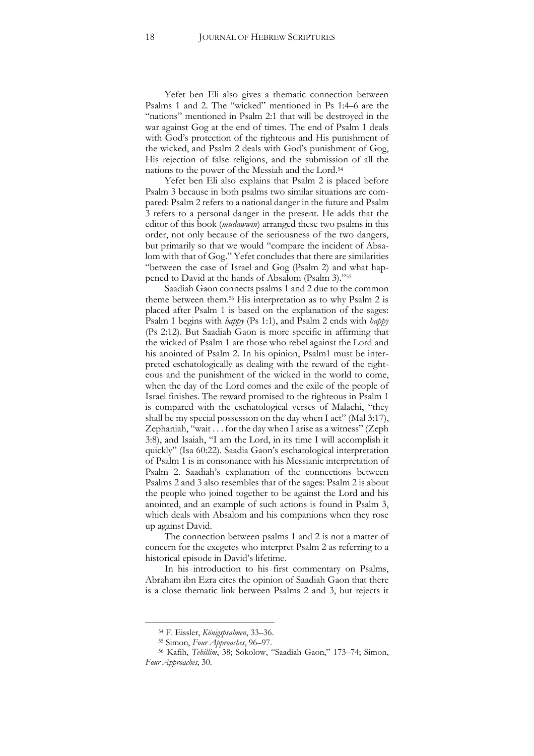Yefet ben Eli also gives a thematic connection between Psalms 1 and 2. The "wicked" mentioned in Ps 1:4–6 are the "nations" mentioned in Psalm 2:1 that will be destroyed in the war against Gog at the end of times. The end of Psalm 1 deals with God's protection of the righteous and His punishment of the wicked, and Psalm 2 deals with God's punishment of Gog, His rejection of false religions, and the submission of all the nations to the power of the Messiah and the Lord.<sup>54</sup>

Yefet ben Eli also explains that Psalm 2 is placed before Psalm 3 because in both psalms two similar situations are compared: Psalm 2 refers to a national danger in the future and Psalm 3 refers to a personal danger in the present. He adds that the editor of this book (*mudawwin*) arranged these two psalms in this order, not only because of the seriousness of the two dangers, but primarily so that we would "compare the incident of Absalom with that of Gog." Yefet concludes that there are similarities "between the case of Israel and Gog (Psalm 2) and what happened to David at the hands of Absalom (Psalm 3)."<sup>55</sup>

Saadiah Gaon connects psalms 1 and 2 due to the common theme between them.<sup>56</sup> His interpretation as to why Psalm 2 is placed after Psalm 1 is based on the explanation of the sages: Psalm 1 begins with *happy* (Ps 1:1), and Psalm 2 ends with *happy*  (Ps 2:12). But Saadiah Gaon is more specific in affirming that the wicked of Psalm 1 are those who rebel against the Lord and his anointed of Psalm 2. In his opinion, Psalm1 must be interpreted eschatologically as dealing with the reward of the righteous and the punishment of the wicked in the world to come, when the day of the Lord comes and the exile of the people of Israel finishes. The reward promised to the righteous in Psalm 1 is compared with the eschatological verses of Malachi, "they shall be my special possession on the day when I act" (Mal 3:17), Zephaniah, "wait . . . for the day when I arise as a witness" (Zeph 3:8), and Isaiah, "I am the Lord, in its time I will accomplish it quickly" (Isa 60:22). Saadia Gaon's eschatological interpretation of Psalm 1 is in consonance with his Messianic interpretation of Psalm 2. Saadiah's explanation of the connections between Psalms 2 and 3 also resembles that of the sages: Psalm 2 is about the people who joined together to be against the Lord and his anointed, and an example of such actions is found in Psalm 3, which deals with Absalom and his companions when they rose up against David.

The connection between psalms 1 and 2 is not a matter of concern for the exegetes who interpret Psalm 2 as referring to a historical episode in David's lifetime.

In his introduction to his first commentary on Psalms, Abraham ibn Ezra cites the opinion of Saadiah Gaon that there is a close thematic link between Psalms 2 and 3, but rejects it

<sup>54</sup> F. Eissler, *Königspsalmen*, 33–36.

<sup>55</sup> Simon, *Four Approaches*, 96–97.

<sup>56</sup> Kafih, *Tehillim*, 38; Sokolow, "Saadiah Gaon," 173–74; Simon, *Four Approaches*, 30.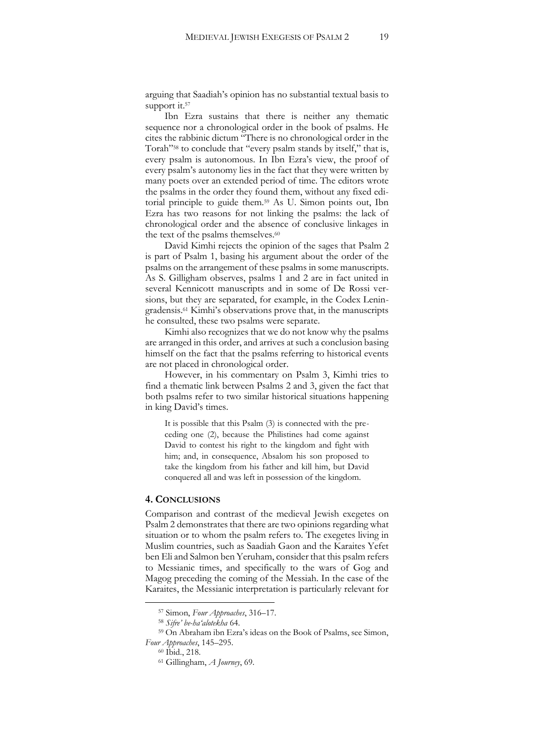arguing that Saadiah's opinion has no substantial textual basis to support it.<sup>57</sup>

Ibn Ezra sustains that there is neither any thematic sequence nor a chronological order in the book of psalms. He cites the rabbinic dictum "There is no chronological order in the Torah"<sup>58</sup> to conclude that "every psalm stands by itself," that is, every psalm is autonomous. In Ibn Ezra's view, the proof of every psalm's autonomy lies in the fact that they were written by many poets over an extended period of time. The editors wrote the psalms in the order they found them, without any fixed editorial principle to guide them.<sup>59</sup> As U. Simon points out, Ibn Ezra has two reasons for not linking the psalms: the lack of chronological order and the absence of conclusive linkages in the text of the psalms themselves.<sup>60</sup>

David Kimhi rejects the opinion of the sages that Psalm 2 is part of Psalm 1, basing his argument about the order of the psalms on the arrangement of these psalms in some manuscripts. As S. Gilligham observes, psalms 1 and 2 are in fact united in several Kennicott manuscripts and in some of De Rossi versions, but they are separated, for example, in the Codex Leningradensis.<sup>61</sup> Kimhi's observations prove that, in the manuscripts he consulted, these two psalms were separate.

Kimhi also recognizes that we do not know why the psalms are arranged in this order, and arrives at such a conclusion basing himself on the fact that the psalms referring to historical events are not placed in chronological order.

However, in his commentary on Psalm 3, Kimhi tries to find a thematic link between Psalms 2 and 3, given the fact that both psalms refer to two similar historical situations happening in king David's times.

It is possible that this Psalm (3) is connected with the preceding one (2), because the Philistines had come against David to contest his right to the kingdom and fight with him; and, in consequence, Absalom his son proposed to take the kingdom from his father and kill him, but David conquered all and was left in possession of the kingdom.

#### **4. CONCLUSIONS**

Comparison and contrast of the medieval Jewish exegetes on Psalm 2 demonstrates that there are two opinions regarding what situation or to whom the psalm refers to. The exegetes living in Muslim countries, such as Saadiah Gaon and the Karaites Yefet ben Eli and Salmon ben Yeruham, consider that this psalm refers to Messianic times, and specifically to the wars of Gog and Magog preceding the coming of the Messiah. In the case of the Karaites, the Messianic interpretation is particularly relevant for

<sup>57</sup> Simon, *Four Approaches*, 316–17.

<sup>58</sup> *Sifre' be-ha'alotekha* 64.

<sup>59</sup> On Abraham ibn Ezra's ideas on the Book of Psalms, see Simon, *Four Approaches*, 145–295.

<sup>60</sup> Ibid., 218.

<sup>61</sup> Gillingham, *A Journey*, 69.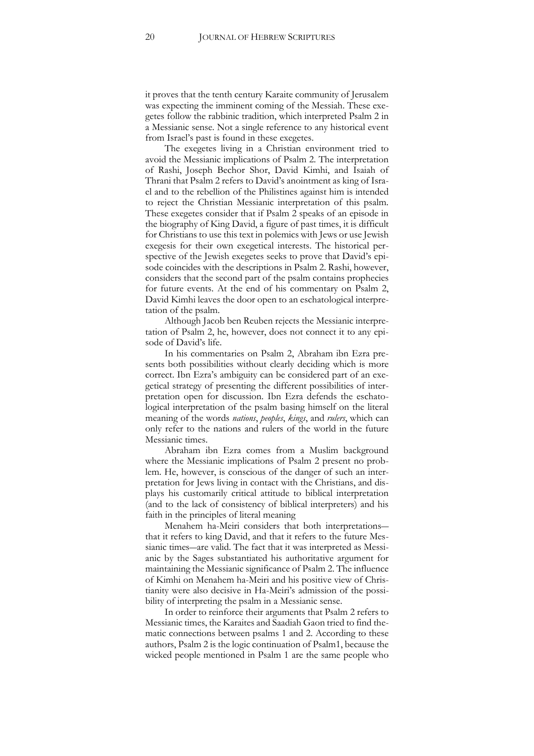it proves that the tenth century Karaite community of Jerusalem was expecting the imminent coming of the Messiah. These exegetes follow the rabbinic tradition, which interpreted Psalm 2 in a Messianic sense. Not a single reference to any historical event from Israel's past is found in these exegetes.

The exegetes living in a Christian environment tried to avoid the Messianic implications of Psalm 2. The interpretation of Rashi, Joseph Bechor Shor, David Kimhi, and Isaiah of Thrani that Psalm 2 refers to David's anointment as king of Israel and to the rebellion of the Philistines against him is intended to reject the Christian Messianic interpretation of this psalm. These exegetes consider that if Psalm 2 speaks of an episode in the biography of King David, a figure of past times, it is difficult for Christians to use this text in polemics with Jews or use Jewish exegesis for their own exegetical interests. The historical perspective of the Jewish exegetes seeks to prove that David's episode coincides with the descriptions in Psalm 2. Rashi, however, considers that the second part of the psalm contains prophecies for future events. At the end of his commentary on Psalm 2, David Kimhi leaves the door open to an eschatological interpretation of the psalm.

Although Jacob ben Reuben rejects the Messianic interpretation of Psalm 2, he, however, does not connect it to any episode of David's life.

In his commentaries on Psalm 2, Abraham ibn Ezra presents both possibilities without clearly deciding which is more correct. Ibn Ezra's ambiguity can be considered part of an exegetical strategy of presenting the different possibilities of interpretation open for discussion. Ibn Ezra defends the eschatological interpretation of the psalm basing himself on the literal meaning of the words *nations*, *peoples*, *kings*, and *rulers*, which can only refer to the nations and rulers of the world in the future Messianic times.

Abraham ibn Ezra comes from a Muslim background where the Messianic implications of Psalm 2 present no problem. He, however, is conscious of the danger of such an interpretation for Jews living in contact with the Christians, and displays his customarily critical attitude to biblical interpretation (and to the lack of consistency of biblical interpreters) and his faith in the principles of literal meaning

Menahem ha-Meiri considers that both interpretations― that it refers to king David, and that it refers to the future Messianic times―are valid. The fact that it was interpreted as Messianic by the Sages substantiated his authoritative argument for maintaining the Messianic significance of Psalm 2. The influence of Kimhi on Menahem ha-Meiri and his positive view of Christianity were also decisive in Ha-Meiri's admission of the possibility of interpreting the psalm in a Messianic sense.

In order to reinforce their arguments that Psalm 2 refers to Messianic times, the Karaites and Saadiah Gaon tried to find thematic connections between psalms 1 and 2. According to these authors, Psalm 2 is the logic continuation of Psalm1, because the wicked people mentioned in Psalm 1 are the same people who